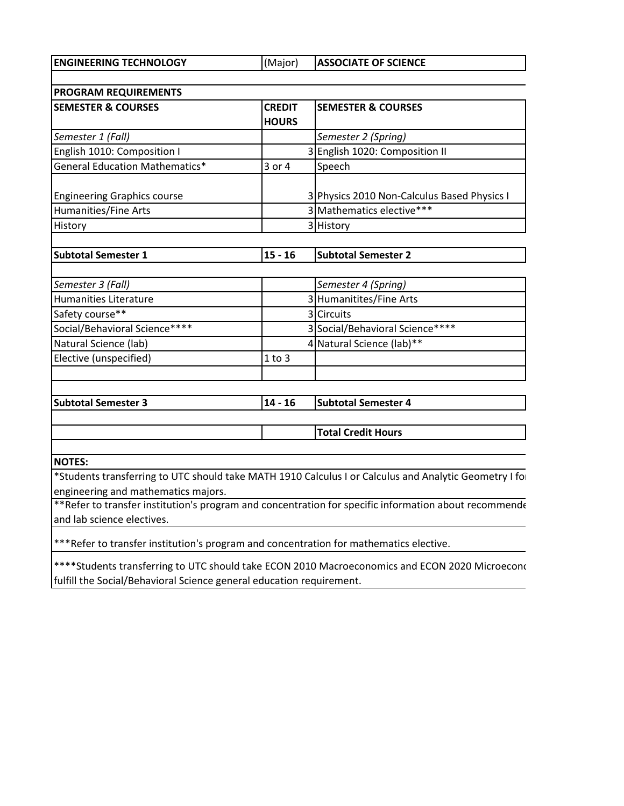**ENGINEERING TECHNOLOGY** (Major) **ASSOCIATE OF SCIENCE**

| <b>SEMESTER &amp; COURSES</b>         | <b>CREDIT</b> | <b>SEMESTER &amp; COURSES</b>               |
|---------------------------------------|---------------|---------------------------------------------|
|                                       | <b>HOURS</b>  |                                             |
| Semester 1 (Fall)                     |               | Semester 2 (Spring)                         |
| English 1010: Composition I           |               | 3 English 1020: Composition II              |
| <b>General Education Mathematics*</b> | 3 or 4        | Speech                                      |
| <b>Engineering Graphics course</b>    |               | 3 Physics 2010 Non-Calculus Based Physics I |
| Humanities/Fine Arts                  |               | 3 Mathematics elective***                   |
| History                               |               | 3 History                                   |
|                                       |               |                                             |
| <b>Subtotal Semester 1</b>            | $15 - 16$     | <b>Subtotal Semester 2</b>                  |
| Semester 3 (Fall)                     |               | Semester 4 (Spring)                         |
| <b>Humanities Literature</b>          |               | 3 Humanitites/Fine Arts                     |
| Safety course**                       |               | 3 Circuits                                  |
| Social/Behavioral Science****         |               | 3 Social/Behavioral Science****             |
| Natural Science (lab)                 |               | 4 Natural Science (lab)**                   |
| Elective (unspecified)                | $1$ to $3$    |                                             |
|                                       |               |                                             |
| <b>Subtotal Semester 3</b>            | $14 - 16$     | <b>Subtotal Semester 4</b>                  |
|                                       |               |                                             |

\*Students transferring to UTC should take MATH 1910 Calculus I or Calculus and Analytic Geometry I for engineering and mathematics majors.

\*\*Refer to transfer institution's program and concentration for specific information about recommende and lab science electives.

\*\*\*Refer to transfer institution's program and concentration for mathematics elective.

\*\*\*\*Students transferring to UTC should take ECON 2010 Macroeconomics and ECON 2020 Microeconomics fulfill the Social/Behavioral Science general education requirement.